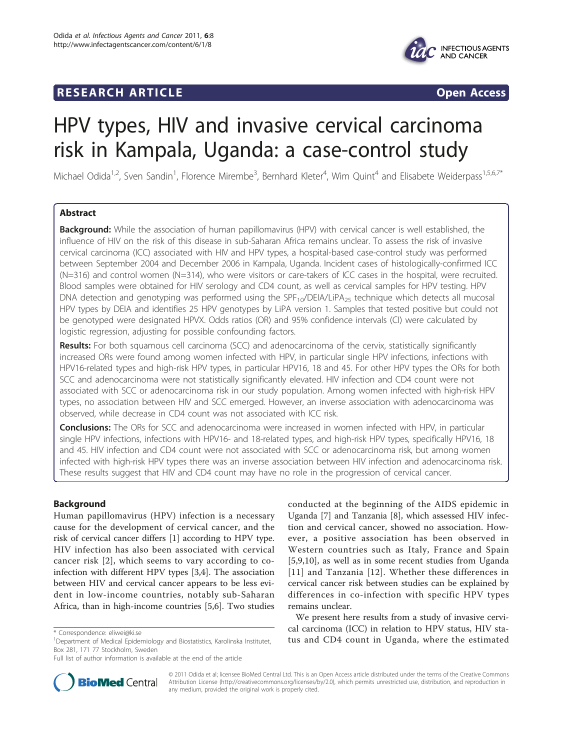## **RESEARCH ARTICLE Example 2018 CONSIDERING ACCESS**



# HPV types, HIV and invasive cervical carcinoma risk in Kampala, Uganda: a case-control study

Michael Odida<sup>1,2</sup>, Sven Sandin<sup>1</sup>, Florence Mirembe<sup>3</sup>, Bernhard Kleter<sup>4</sup>, Wim Quint<sup>4</sup> and Elisabete Weiderpass<sup>1,5,6,7\*</sup>

## Abstract

Background: While the association of human papillomavirus (HPV) with cervical cancer is well established, the influence of HIV on the risk of this disease in sub-Saharan Africa remains unclear. To assess the risk of invasive cervical carcinoma (ICC) associated with HIV and HPV types, a hospital-based case-control study was performed between September 2004 and December 2006 in Kampala, Uganda. Incident cases of histologically-confirmed ICC (N=316) and control women (N=314), who were visitors or care-takers of ICC cases in the hospital, were recruited. Blood samples were obtained for HIV serology and CD4 count, as well as cervical samples for HPV testing. HPV DNA detection and genotyping was performed using the SPF<sub>10</sub>/DEIA/LiPA<sub>25</sub> technique which detects all mucosal HPV types by DEIA and identifies 25 HPV genotypes by LiPA version 1. Samples that tested positive but could not be genotyped were designated HPVX. Odds ratios (OR) and 95% confidence intervals (CI) were calculated by logistic regression, adjusting for possible confounding factors.

Results: For both squamous cell carcinoma (SCC) and adenocarcinoma of the cervix, statistically significantly increased ORs were found among women infected with HPV, in particular single HPV infections, infections with HPV16-related types and high-risk HPV types, in particular HPV16, 18 and 45. For other HPV types the ORs for both SCC and adenocarcinoma were not statistically significantly elevated. HIV infection and CD4 count were not associated with SCC or adenocarcinoma risk in our study population. Among women infected with high-risk HPV types, no association between HIV and SCC emerged. However, an inverse association with adenocarcinoma was observed, while decrease in CD4 count was not associated with ICC risk.

**Conclusions:** The ORs for SCC and adenocarcinoma were increased in women infected with HPV, in particular single HPV infections, infections with HPV16- and 18-related types, and high-risk HPV types, specifically HPV16, 18 and 45. HIV infection and CD4 count were not associated with SCC or adenocarcinoma risk, but among women infected with high-risk HPV types there was an inverse association between HIV infection and adenocarcinoma risk. These results suggest that HIV and CD4 count may have no role in the progression of cervical cancer.

## Background

Human papillomavirus (HPV) infection is a necessary cause for the development of cervical cancer, and the risk of cervical cancer differs [\[1\]](#page-11-0) according to HPV type. HIV infection has also been associated with cervical cancer risk [[2\]](#page-11-0), which seems to vary according to coinfection with different HPV types [[3,4\]](#page-11-0). The association between HIV and cervical cancer appears to be less evident in low-income countries, notably sub-Saharan Africa, than in high-income countries [[5,6\]](#page-11-0). Two studies

conducted at the beginning of the AIDS epidemic in Uganda [[7](#page-11-0)] and Tanzania [\[8](#page-11-0)], which assessed HIV infection and cervical cancer, showed no association. However, a positive association has been observed in Western countries such as Italy, France and Spain [[5,9,10](#page-11-0)], as well as in some recent studies from Uganda [[11\]](#page-11-0) and Tanzania [[12](#page-11-0)]. Whether these differences in cervical cancer risk between studies can be explained by differences in co-infection with specific HPV types remains unclear.

We present here results from a study of invasive cervical carcinoma (ICC) in relation to HPV status, HIV status correspondence: [eliwei@ki.se](mailto:eliwei@ki.se)<br>tus and CD4 count in Uganda, where the estimated \* Correspondence in Meganda, where the estimated \* ^ Correspondence: eliwei@ki.se



© 2011 Odida et al; licensee BioMed Central Ltd. This is an Open Access article distributed under the terms of the Creative Commons Attribution License [\(http://creativecommons.org/licenses/by/2.0](http://creativecommons.org/licenses/by/2.0)), which permits unrestricted use, distribution, and reproduction in any medium, provided the original work is properly cited.

<sup>&</sup>lt;sup>1</sup>Department of Medical Epidemiology and Biostatistics, Karolinska Institutet, Box 281, 171 77 Stockholm, Sweden

Full list of author information is available at the end of the article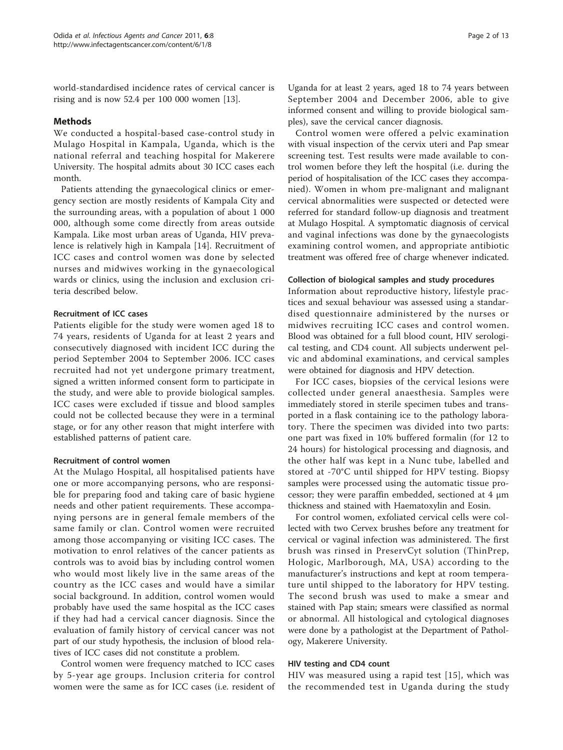world-standardised incidence rates of cervical cancer is rising and is now 52.4 per 100 000 women [\[13](#page-11-0)].

## **Methods**

We conducted a hospital-based case-control study in Mulago Hospital in Kampala, Uganda, which is the national referral and teaching hospital for Makerere University. The hospital admits about 30 ICC cases each month.

Patients attending the gynaecological clinics or emergency section are mostly residents of Kampala City and the surrounding areas, with a population of about 1 000 000, although some come directly from areas outside Kampala. Like most urban areas of Uganda, HIV prevalence is relatively high in Kampala [[14\]](#page-11-0). Recruitment of ICC cases and control women was done by selected nurses and midwives working in the gynaecological wards or clinics, using the inclusion and exclusion criteria described below.

## Recruitment of ICC cases

Patients eligible for the study were women aged 18 to 74 years, residents of Uganda for at least 2 years and consecutively diagnosed with incident ICC during the period September 2004 to September 2006. ICC cases recruited had not yet undergone primary treatment, signed a written informed consent form to participate in the study, and were able to provide biological samples. ICC cases were excluded if tissue and blood samples could not be collected because they were in a terminal stage, or for any other reason that might interfere with established patterns of patient care.

## Recruitment of control women

At the Mulago Hospital, all hospitalised patients have one or more accompanying persons, who are responsible for preparing food and taking care of basic hygiene needs and other patient requirements. These accompanying persons are in general female members of the same family or clan. Control women were recruited among those accompanying or visiting ICC cases. The motivation to enrol relatives of the cancer patients as controls was to avoid bias by including control women who would most likely live in the same areas of the country as the ICC cases and would have a similar social background. In addition, control women would probably have used the same hospital as the ICC cases if they had had a cervical cancer diagnosis. Since the evaluation of family history of cervical cancer was not part of our study hypothesis, the inclusion of blood relatives of ICC cases did not constitute a problem.

Control women were frequency matched to ICC cases by 5-year age groups. Inclusion criteria for control women were the same as for ICC cases (i.e. resident of

Uganda for at least 2 years, aged 18 to 74 years between September 2004 and December 2006, able to give informed consent and willing to provide biological samples), save the cervical cancer diagnosis.

Control women were offered a pelvic examination with visual inspection of the cervix uteri and Pap smear screening test. Test results were made available to control women before they left the hospital (i.e. during the period of hospitalisation of the ICC cases they accompanied). Women in whom pre-malignant and malignant cervical abnormalities were suspected or detected were referred for standard follow-up diagnosis and treatment at Mulago Hospital. A symptomatic diagnosis of cervical and vaginal infections was done by the gynaecologists examining control women, and appropriate antibiotic treatment was offered free of charge whenever indicated.

#### Collection of biological samples and study procedures

Information about reproductive history, lifestyle practices and sexual behaviour was assessed using a standardised questionnaire administered by the nurses or midwives recruiting ICC cases and control women. Blood was obtained for a full blood count, HIV serological testing, and CD4 count. All subjects underwent pelvic and abdominal examinations, and cervical samples were obtained for diagnosis and HPV detection.

For ICC cases, biopsies of the cervical lesions were collected under general anaesthesia. Samples were immediately stored in sterile specimen tubes and transported in a flask containing ice to the pathology laboratory. There the specimen was divided into two parts: one part was fixed in 10% buffered formalin (for 12 to 24 hours) for histological processing and diagnosis, and the other half was kept in a Nunc tube, labelled and stored at -70°C until shipped for HPV testing. Biopsy samples were processed using the automatic tissue processor; they were paraffin embedded, sectioned at 4 μm thickness and stained with Haematoxylin and Eosin.

For control women, exfoliated cervical cells were collected with two Cervex brushes before any treatment for cervical or vaginal infection was administered. The first brush was rinsed in PreservCyt solution (ThinPrep, Hologic, Marlborough, MA, USA) according to the manufacturer's instructions and kept at room temperature until shipped to the laboratory for HPV testing. The second brush was used to make a smear and stained with Pap stain; smears were classified as normal or abnormal. All histological and cytological diagnoses were done by a pathologist at the Department of Pathology, Makerere University.

#### HIV testing and CD4 count

HIV was measured using a rapid test [[15](#page-11-0)], which was the recommended test in Uganda during the study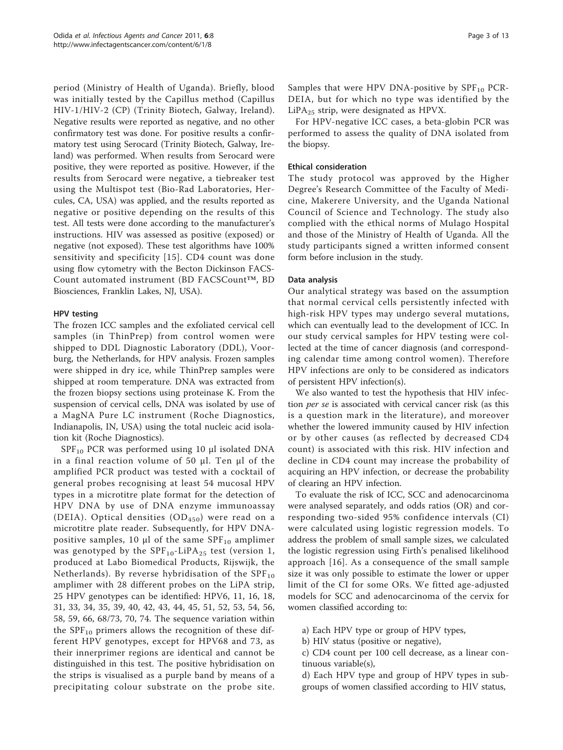period (Ministry of Health of Uganda). Briefly, blood was initially tested by the Capillus method (Capillus HIV-1/HIV-2 (CP) (Trinity Biotech, Galway, Ireland). Negative results were reported as negative, and no other confirmatory test was done. For positive results a confirmatory test using Serocard (Trinity Biotech, Galway, Ireland) was performed. When results from Serocard were positive, they were reported as positive. However, if the results from Serocard were negative, a tiebreaker test using the Multispot test (Bio-Rad Laboratories, Hercules, CA, USA) was applied, and the results reported as negative or positive depending on the results of this test. All tests were done according to the manufacturer's instructions. HIV was assessed as positive (exposed) or negative (not exposed). These test algorithms have 100% sensitivity and specificity [[15](#page-11-0)]. CD4 count was done using flow cytometry with the Becton Dickinson FACS-Count automated instrument (BD FACSCount™, BD Biosciences, Franklin Lakes, NJ, USA).

## HPV testing

The frozen ICC samples and the exfoliated cervical cell samples (in ThinPrep) from control women were shipped to DDL Diagnostic Laboratory (DDL), Voorburg, the Netherlands, for HPV analysis. Frozen samples were shipped in dry ice, while ThinPrep samples were shipped at room temperature. DNA was extracted from the frozen biopsy sections using proteinase K. From the suspension of cervical cells, DNA was isolated by use of a MagNA Pure LC instrument (Roche Diagnostics, Indianapolis, IN, USA) using the total nucleic acid isolation kit (Roche Diagnostics).

 $SPF_{10}$  PCR was performed using 10 μl isolated DNA in a final reaction volume of 50 μl. Ten μl of the amplified PCR product was tested with a cocktail of general probes recognising at least 54 mucosal HPV types in a microtitre plate format for the detection of HPV DNA by use of DNA enzyme immunoassay (DEIA). Optical densities  $(OD<sub>450</sub>)$  were read on a microtitre plate reader. Subsequently, for HPV DNApositive samples, 10  $\mu$ l of the same SPF<sub>10</sub> amplimer was genotyped by the  $SPF_{10}$ -LiPA<sub>25</sub> test (version 1, produced at Labo Biomedical Products, Rijswijk, the Netherlands). By reverse hybridisation of the  $SPF_{10}$ amplimer with 28 different probes on the LiPA strip, 25 HPV genotypes can be identified: HPV6, 11, 16, 18, 31, 33, 34, 35, 39, 40, 42, 43, 44, 45, 51, 52, 53, 54, 56, 58, 59, 66, 68/73, 70, 74. The sequence variation within the  $SPF_{10}$  primers allows the recognition of these different HPV genotypes, except for HPV68 and 73, as their innerprimer regions are identical and cannot be distinguished in this test. The positive hybridisation on the strips is visualised as a purple band by means of a precipitating colour substrate on the probe site. Samples that were HPV DNA-positive by  $SPF_{10}$  PCR-DEIA, but for which no type was identified by the LiPA25 strip, were designated as HPVX.

For HPV-negative ICC cases, a beta-globin PCR was performed to assess the quality of DNA isolated from the biopsy.

## Ethical consideration

The study protocol was approved by the Higher Degree's Research Committee of the Faculty of Medicine, Makerere University, and the Uganda National Council of Science and Technology. The study also complied with the ethical norms of Mulago Hospital and those of the Ministry of Health of Uganda. All the study participants signed a written informed consent form before inclusion in the study.

## Data analysis

Our analytical strategy was based on the assumption that normal cervical cells persistently infected with high-risk HPV types may undergo several mutations, which can eventually lead to the development of ICC. In our study cervical samples for HPV testing were collected at the time of cancer diagnosis (and corresponding calendar time among control women). Therefore HPV infections are only to be considered as indicators of persistent HPV infection(s).

We also wanted to test the hypothesis that HIV infection per se is associated with cervical cancer risk (as this is a question mark in the literature), and moreover whether the lowered immunity caused by HIV infection or by other causes (as reflected by decreased CD4 count) is associated with this risk. HIV infection and decline in CD4 count may increase the probability of acquiring an HPV infection, or decrease the probability of clearing an HPV infection.

To evaluate the risk of ICC, SCC and adenocarcinoma were analysed separately, and odds ratios (OR) and corresponding two-sided 95% confidence intervals (CI) were calculated using logistic regression models. To address the problem of small sample sizes, we calculated the logistic regression using Firth's penalised likelihood approach [[16\]](#page-11-0). As a consequence of the small sample size it was only possible to estimate the lower or upper limit of the CI for some ORs. We fitted age-adjusted models for SCC and adenocarcinoma of the cervix for women classified according to:

a) Each HPV type or group of HPV types,

b) HIV status (positive or negative),

c) CD4 count per 100 cell decrease, as a linear continuous variable(s),

d) Each HPV type and group of HPV types in subgroups of women classified according to HIV status,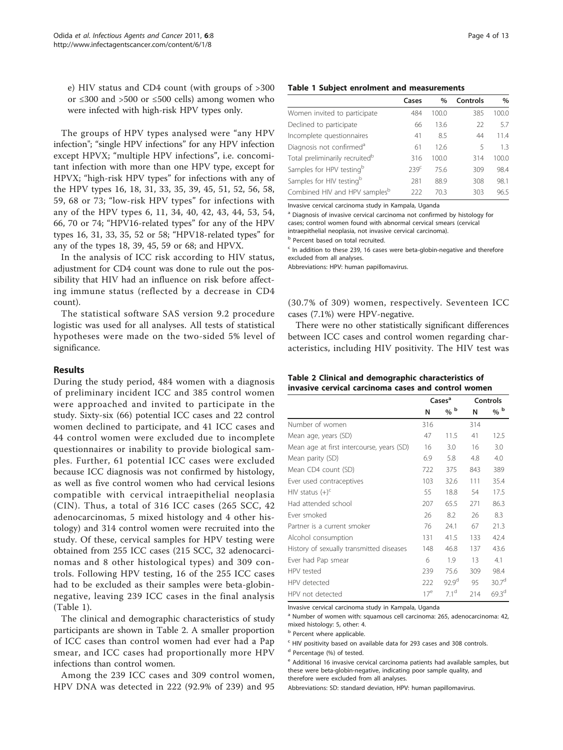<span id="page-3-0"></span>e) HIV status and CD4 count (with groups of >300 or ≤300 and >500 or ≤500 cells) among women who were infected with high-risk HPV types only.

The groups of HPV types analysed were "any HPV infection"; "single HPV infections" for any HPV infection except HPVX; "multiple HPV infections", i.e. concomitant infection with more than one HPV type, except for HPVX; "high-risk HPV types" for infections with any of the HPV types 16, 18, 31, 33, 35, 39, 45, 51, 52, 56, 58, 59, 68 or 73; "low-risk HPV types" for infections with any of the HPV types 6, 11, 34, 40, 42, 43, 44, 53, 54, 66, 70 or 74; "HPV16-related types" for any of the HPV types 16, 31, 33, 35, 52 or 58; "HPV18-related types" for any of the types 18, 39, 45, 59 or 68; and HPVX.

In the analysis of ICC risk according to HIV status, adjustment for CD4 count was done to rule out the possibility that HIV had an influence on risk before affecting immune status (reflected by a decrease in CD4 count).

The statistical software SAS version 9.2 procedure logistic was used for all analyses. All tests of statistical hypotheses were made on the two-sided 5% level of significance.

#### Results

During the study period, 484 women with a diagnosis of preliminary incident ICC and 385 control women were approached and invited to participate in the study. Sixty-six (66) potential ICC cases and 22 control women declined to participate, and 41 ICC cases and 44 control women were excluded due to incomplete questionnaires or inability to provide biological samples. Further, 61 potential ICC cases were excluded because ICC diagnosis was not confirmed by histology, as well as five control women who had cervical lesions compatible with cervical intraepithelial neoplasia (CIN). Thus, a total of 316 ICC cases (265 SCC, 42 adenocarcinomas, 5 mixed histology and 4 other histology) and 314 control women were recruited into the study. Of these, cervical samples for HPV testing were obtained from 255 ICC cases (215 SCC, 32 adenocarcinomas and 8 other histological types) and 309 controls. Following HPV testing, 16 of the 255 ICC cases had to be excluded as their samples were beta-globinnegative, leaving 239 ICC cases in the final analysis (Table 1).

The clinical and demographic characteristics of study participants are shown in Table 2. A smaller proportion of ICC cases than control women had ever had a Pap smear, and ICC cases had proportionally more HPV infections than control women.

Among the 239 ICC cases and 309 control women, HPV DNA was detected in 222 (92.9% of 239) and 95

#### Table 1 Subject enrolment and measurements

|                                            | Cases            | $\%$  | Controls | $\%$  |
|--------------------------------------------|------------------|-------|----------|-------|
| Women invited to participate               | 484              | 100.0 | 385      | 100.0 |
| Declined to participate                    | 66               | 13.6  | 22       | 5.7   |
| Incomplete questionnaires                  | 41               | 8.5   | 44       | 11.4  |
| Diagnosis not confirmed <sup>a</sup>       | 61               | 126   | 5        | 13    |
| Total preliminarily recruited <sup>b</sup> | 316              | 100.0 | 314      | 100.0 |
| Samples for HPV testingb                   | 239 <sup>c</sup> | 756   | 309      | 98.4  |
| Samples for HIV testing <sup>b</sup>       | 281              | 88.9  | 308      | 98.1  |
| Combined HIV and HPV samples <sup>b</sup>  | 222              | 70 3  | 303      | 96.5  |

Invasive cervical carcinoma study in Kampala, Uganda

<sup>a</sup> Diagnosis of invasive cervical carcinoma not confirmed by histology for cases; control women found with abnormal cervical smears (cervical intraepithelial neoplasia, not invasive cervical carcinoma).

**b** Percent based on total recruited.

 $c$  In addition to these 239, 16 cases were beta-globin-negative and therefore excluded from all analyses.

Abbreviations: HPV: human papillomavirus.

(30.7% of 309) women, respectively. Seventeen ICC cases (7.1%) were HPV-negative.

There were no other statistically significant differences between ICC cases and control women regarding characteristics, including HIV positivity. The HIV test was

|  | Table 2 Clinical and demographic characteristics of |  |  |
|--|-----------------------------------------------------|--|--|
|  | invasive cervical carcinoma cases and control women |  |  |

|                                           |                 | Cases <sup>a</sup> |     | Controls          |
|-------------------------------------------|-----------------|--------------------|-----|-------------------|
|                                           | N               | $\%$ b             | N   | % b               |
| Number of women                           | 316             |                    | 314 |                   |
| Mean age, years (SD)                      | 47              | 11.5               | 41  | 12.5              |
| Mean age at first intercourse, years (SD) | 16              | 3.0                | 16  | 3.0               |
| Mean parity (SD)                          | 6.9             | 5.8                | 4.8 | 4.0               |
| Mean CD4 count (SD)                       | 722             | 375                | 843 | 389               |
| Ever used contraceptives                  | 103             | 32.6               | 111 | 35.4              |
| HIV status $(+)^c$                        | 55              | 18.8               | 54  | 17.5              |
| Had attended school                       | 207             | 65.5               | 271 | 86.3              |
| Fver smoked                               | 26              | 8.2                | 26  | 8.3               |
| Partner is a current smoker               | 76              | 24.1               | 67  | 21.3              |
| Alcohol consumption                       | 131             | 41.5               | 133 | 42.4              |
| History of sexually transmitted diseases  | 148             | 46.8               | 137 | 43.6              |
| Ever had Pap smear                        | 6               | 1.9                | 13  | 4.1               |
| HPV tested                                | 239             | 75.6               | 309 | 98.4              |
| HPV detected                              | 222             | 92.9 <sup>d</sup>  | 95  | 30.7 <sup>d</sup> |
| HPV not detected                          | 17 <sup>e</sup> | 71 <sup>d</sup>    | 214 | 69.3 <sup>d</sup> |

Invasive cervical carcinoma study in Kampala, Uganda

<sup>a</sup> Number of women with: squamous cell carcinoma: 265, adenocarcinoma: 42, mixed histology: 5, other: 4.

**b** Percent where applicable.

<sup>c</sup> HIV positivity based on available data for 293 cases and 308 controls.

<sup>d</sup> Percentage (%) of tested.

<sup>e</sup> Additional 16 invasive cervical carcinoma patients had available samples, but these were beta-globin-negative, indicating poor sample quality, and therefore were excluded from all analyses.

Abbreviations: SD: standard deviation, HPV: human papillomavirus.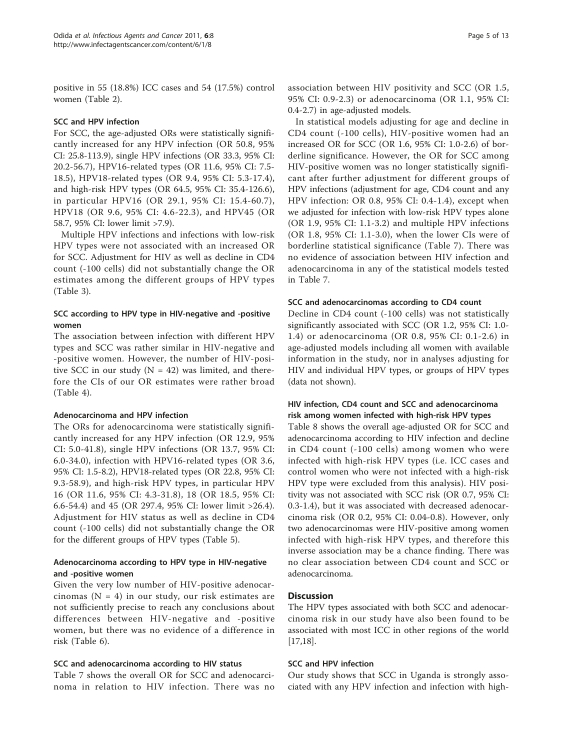positive in 55 (18.8%) ICC cases and 54 (17.5%) control women (Table [2\)](#page-3-0).

#### SCC and HPV infection

For SCC, the age-adjusted ORs were statistically significantly increased for any HPV infection (OR 50.8, 95% CI: 25.8-113.9), single HPV infections (OR 33.3, 95% CI: 20.2-56.7), HPV16-related types (OR 11.6, 95% CI: 7.5- 18.5), HPV18-related types (OR 9.4, 95% CI: 5.3-17.4), and high-risk HPV types (OR 64.5, 95% CI: 35.4-126.6), in particular HPV16 (OR 29.1, 95% CI: 15.4-60.7), HPV18 (OR 9.6, 95% CI: 4.6-22.3), and HPV45 (OR 58.7, 95% CI: lower limit >7.9).

Multiple HPV infections and infections with low-risk HPV types were not associated with an increased OR for SCC. Adjustment for HIV as well as decline in CD4 count (-100 cells) did not substantially change the OR estimates among the different groups of HPV types (Table [3\)](#page-5-0).

## SCC according to HPV type in HIV-negative and -positive women

The association between infection with different HPV types and SCC was rather similar in HIV-negative and -positive women. However, the number of HIV-positive SCC in our study  $(N = 42)$  was limited, and therefore the CIs of our OR estimates were rather broad (Table [4\)](#page-6-0).

## Adenocarcinoma and HPV infection

The ORs for adenocarcinoma were statistically significantly increased for any HPV infection (OR 12.9, 95% CI: 5.0-41.8), single HPV infections (OR 13.7, 95% CI: 6.0-34.0), infection with HPV16-related types (OR 3.6, 95% CI: 1.5-8.2), HPV18-related types (OR 22.8, 95% CI: 9.3-58.9), and high-risk HPV types, in particular HPV 16 (OR 11.6, 95% CI: 4.3-31.8), 18 (OR 18.5, 95% CI: 6.6-54.4) and 45 (OR 297.4, 95% CI: lower limit >26.4). Adjustment for HIV status as well as decline in CD4 count (-100 cells) did not substantially change the OR for the different groups of HPV types (Table [5\)](#page-7-0).

## Adenocarcinoma according to HPV type in HIV-negative and -positive women

Given the very low number of HIV-positive adenocarcinomas ( $N = 4$ ) in our study, our risk estimates are not sufficiently precise to reach any conclusions about differences between HIV-negative and -positive women, but there was no evidence of a difference in risk (Table [6](#page-8-0)).

#### SCC and adenocarcinoma according to HIV status

Table [7](#page-9-0) shows the overall OR for SCC and adenocarcinoma in relation to HIV infection. There was no Page 5 of 13

association between HIV positivity and SCC (OR 1.5, 95% CI: 0.9-2.3) or adenocarcinoma (OR 1.1, 95% CI: 0.4-2.7) in age-adjusted models.

In statistical models adjusting for age and decline in CD4 count (-100 cells), HIV-positive women had an increased OR for SCC (OR 1.6, 95% CI: 1.0-2.6) of borderline significance. However, the OR for SCC among HIV-positive women was no longer statistically significant after further adjustment for different groups of HPV infections (adjustment for age, CD4 count and any HPV infection: OR 0.8, 95% CI: 0.4-1.4), except when we adjusted for infection with low-risk HPV types alone (OR 1.9, 95% CI: 1.1-3.2) and multiple HPV infections (OR 1.8, 95% CI: 1.1-3.0), when the lower CIs were of borderline statistical significance (Table [7](#page-9-0)). There was no evidence of association between HIV infection and adenocarcinoma in any of the statistical models tested in Table [7.](#page-9-0)

#### SCC and adenocarcinomas according to CD4 count

Decline in CD4 count (-100 cells) was not statistically significantly associated with SCC (OR 1.2, 95% CI: 1.0- 1.4) or adenocarcinoma (OR 0.8, 95% CI: 0.1-2.6) in age-adjusted models including all women with available information in the study, nor in analyses adjusting for HIV and individual HPV types, or groups of HPV types (data not shown).

## HIV infection, CD4 count and SCC and adenocarcinoma risk among women infected with high-risk HPV types

Table [8](#page-9-0) shows the overall age-adjusted OR for SCC and adenocarcinoma according to HIV infection and decline in CD4 count (-100 cells) among women who were infected with high-risk HPV types (i.e. ICC cases and control women who were not infected with a high-risk HPV type were excluded from this analysis). HIV positivity was not associated with SCC risk (OR 0.7, 95% CI: 0.3-1.4), but it was associated with decreased adenocarcinoma risk (OR 0.2, 95% CI: 0.04-0.8). However, only two adenocarcinomas were HIV-positive among women infected with high-risk HPV types, and therefore this inverse association may be a chance finding. There was no clear association between CD4 count and SCC or adenocarcinoma.

## **Discussion**

The HPV types associated with both SCC and adenocarcinoma risk in our study have also been found to be associated with most ICC in other regions of the world [[17,18\]](#page-11-0).

#### SCC and HPV infection

Our study shows that SCC in Uganda is strongly associated with any HPV infection and infection with high-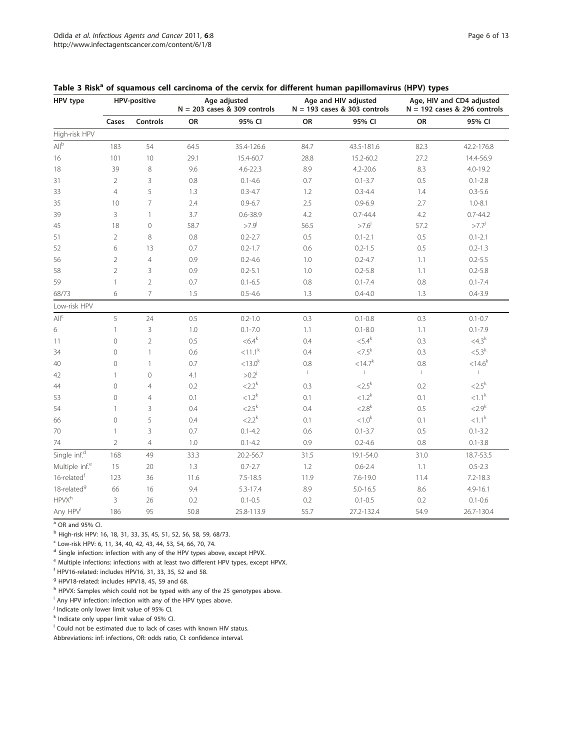<span id="page-5-0"></span>

|  | Table 3 Risk <sup>a</sup> of squamous cell carcinoma of the cervix for different human papillomavirus (HPV) types |  |  |  |  |  |
|--|-------------------------------------------------------------------------------------------------------------------|--|--|--|--|--|
|--|-------------------------------------------------------------------------------------------------------------------|--|--|--|--|--|

| HPV type                   | <b>HPV-positive</b> |                |         | Age adjusted<br>$N = 203$ cases & 309 controls |              | Age and HIV adjusted<br>$N = 193$ cases & 303 controls | Age, HIV and CD4 adjusted<br>$N = 192$ cases & 296 controls |              |  |
|----------------------------|---------------------|----------------|---------|------------------------------------------------|--------------|--------------------------------------------------------|-------------------------------------------------------------|--------------|--|
|                            | Cases               | Controls       | OR      | 95% CI                                         | OR           | 95% CI                                                 | OR                                                          | 95% CI       |  |
| High-risk HPV              |                     |                |         |                                                |              |                                                        |                                                             |              |  |
| All <sup>b</sup>           | 183                 | 54             | 64.5    | 35.4-126.6                                     | 84.7         | 43.5-181.6                                             | 82.3                                                        | 42.2-176.8   |  |
| 16                         | 101                 | 10             | 29.1    | 15.4-60.7                                      | 28.8         | 15.2-60.2                                              | 27.2                                                        | 14.4-56.9    |  |
| 18                         | 39                  | 8              | 9.6     | $4.6 - 22.3$                                   | 8.9          | $4.2 - 20.6$                                           | 8.3                                                         | $4.0 - 19.2$ |  |
| 31                         | $\overline{2}$      | 3              | 0.8     | $0.1 - 4.6$                                    | 0.7          | $0.1 - 3.7$                                            | 0.5                                                         | $0.1 - 2.8$  |  |
| 33                         | $\overline{4}$      | 5              | 1.3     | $0.3 - 4.7$                                    | 1.2          | $0.3 - 4.4$                                            | 1.4                                                         | $0.3 - 5.6$  |  |
| 35                         | 10                  | $\overline{7}$ | 2.4     | $0.9 - 6.7$                                    | 2.5          | $0.9 - 6.9$                                            | 2.7                                                         | $1.0 - 8.1$  |  |
| 39                         | 3                   | 1              | 3.7     | $0.6 - 38.9$                                   | 4.2          | $0.7 - 44.4$                                           | 4.2                                                         | $0.7 - 44.2$ |  |
| 45                         | 18                  | $\mathbf 0$    | 58.7    | $>7.9^{j}$                                     | 56.5         | $>7.6^{j}$                                             | 57.2                                                        | $>7.7^{j}$   |  |
| 51                         | $\overline{2}$      | 8              | 0.8     | $0.2 - 2.7$                                    | $0.5\,$      | $0.1 - 2.1$                                            | 0.5                                                         | $0.1 - 2.1$  |  |
| 52                         | 6                   | 13             | 0.7     | $0.2 - 1.7$                                    | 0.6          | $0.2 - 1.5$                                            | 0.5                                                         | $0.2 - 1.3$  |  |
| 56                         | $\overline{2}$      | $\overline{4}$ | 0.9     | $0.2 - 4.6$                                    | 1.0          | $0.2 - 4.7$                                            | 1.1                                                         | $0.2 - 5.5$  |  |
| 58                         | $\overline{2}$      | 3              | 0.9     | $0.2 - 5.1$                                    | 1.0          | $0.2 - 5.8$                                            | 1.1                                                         | $0.2 - 5.8$  |  |
| 59                         | 1                   | $\overline{2}$ | 0.7     | $0.1 - 6.5$                                    | 0.8          | $0.1 - 7.4$                                            | 0.8                                                         | $0.1 - 7.4$  |  |
| 68/73                      | 6                   | $\overline{7}$ | 1.5     | $0.5 - 4.6$                                    | 1.3          | $0.4 - 4.0$                                            | 1.3                                                         | $0.4 - 3.9$  |  |
| Low-risk HPV               |                     |                |         |                                                |              |                                                        |                                                             |              |  |
| $\mathsf{All}^\mathsf{c}$  | 5                   | 24             | 0.5     | $0.2 - 1.0$                                    | 0.3          | $0.1 - 0.8$                                            | 0.3                                                         | $0.1 - 0.7$  |  |
| 6                          | $\mathbb{1}$        | 3              | $1.0\,$ | $0.1 - 7.0$                                    | 1.1          | $0.1 - 8.0$                                            | 1.1                                                         | $0.1 - 7.9$  |  |
| 11                         | $\circ$             | $\sqrt{2}$     | 0.5     | $< 6.4^k$                                      | 0.4          | $< 5.4^k$                                              | 0.3                                                         | $<$ 4.3 $k$  |  |
| 34                         | $\mathbf 0$         | $\mathbf{1}$   | 0.6     | ${<}11.1^k$                                    | 0.4          | $<7.5^{\rm k}$                                         | 0.3                                                         | $<$ 5.3 $k$  |  |
| 40                         | $\mathbf 0$         | $\mathbf{1}$   | 0.7     | $< 13.0^k$                                     | 0.8          | ${<}14.7^{k}$                                          | 0.8                                                         | $< 14.6^k$   |  |
| 42                         | $\mathbf{1}$        | $\circ$        | 4.1     | $>0.2^{j}$                                     | $\mathbb{L}$ | $\mathbb T$                                            | $\ $                                                        | $\mathbb T$  |  |
| 44                         | $\mathbf 0$         | $\overline{4}$ | 0.2     | $<2.2^k$                                       | 0.3          | $<$ 2.5 $k$                                            | 0.2                                                         | $<$ 2.5 $k$  |  |
| 53                         | $\mathbf 0$         | $\overline{4}$ | 0.1     | ${<}1.2^{k}$                                   | 0.1          | $< 1.2^k$                                              | 0.1                                                         | $< 1.1^k$    |  |
| 54                         | $\mathbf{1}$        | 3              | 0.4     | $<$ 2.5 $k$                                    | 0.4          | $<$ 2.8 <sup>k</sup>                                   | 0.5                                                         | $<$ 2.9 $k$  |  |
| 66                         | $\mathcal O$        | 5              | 0.4     | $<$ 2.2 $k$                                    | 0.1          | < 1.0 <sup>k</sup>                                     | 0.1                                                         | $< 1.1^k$    |  |
| 70                         | $\mathbf{1}$        | 3              | 0.7     | $0.1 - 4.2$                                    | 0.6          | $0.1 - 3.7$                                            | 0.5                                                         | $0.1 - 3.2$  |  |
| 74                         | $\sqrt{2}$          | $\overline{4}$ | 1.0     | $0.1 - 4.2$                                    | 0.9          | $0.2 - 4.6$                                            | 0.8                                                         | $0.1 - 3.8$  |  |
| Single inf. <sup>d</sup>   | 168                 | 49             | 33.3    | 20.2-56.7                                      | 31.5         | 19.1-54.0                                              | 31.0                                                        | 18.7-53.5    |  |
| Multiple inf. <sup>e</sup> | 15                  | 20             | 1.3     | $0.7 - 2.7$                                    | 1.2          | $0.6 - 2.4$                                            | 1.1                                                         | $0.5 - 2.3$  |  |
| 16-related <sup>f</sup>    | 123                 | 36             | 11.6    | $7.5 - 18.5$                                   | 11.9         | $7.6 - 19.0$                                           | 11.4                                                        | $7.2 - 18.3$ |  |
| 18-related <sup>9</sup>    | 66                  | 16             | 9.4     | 5.3-17.4                                       | 8.9          | $5.0 - 16.5$                                           | 8.6                                                         | $4.9 - 16.1$ |  |
| <b>HPVX</b> <sup>h</sup>   | 3                   | 26             | 0.2     | $0.1 - 0.5$                                    | 0.2          | $0.1 - 0.5$                                            | 0.2                                                         | $0.1 - 0.6$  |  |
| Any HPV <sup>i</sup>       | 186                 | 95             | 50.8    | 25.8-113.9                                     | 55.7         | 27.2-132.4                                             | 54.9                                                        | 26.7-130.4   |  |

 $a$  OR and 95% CI.

<sup>b</sup> High-risk HPV: 16, 18, 31, 33, 35, 45, 51, 52, 56, 58, 59, 68/73.

 $c$  Low-risk HPV: 6, 11, 34, 40, 42, 43, 44, 53, 54, 66, 70, 74.

<sup>d</sup> Single infection: infection with any of the HPV types above, except HPVX.

<sup>e</sup> Multiple infections: infections with at least two different HPV types, except HPVX.

 $f$  HPV16-related: includes HPV16, 31, 33, 35, 52 and 58.

<sup>g</sup> HPV18-related: includes HPV18, 45, 59 and 68.

h HPVX: Samples which could not be typed with any of the 25 genotypes above.

<sup>i</sup> Any HPV infection: infection with any of the HPV types above.

 $j$  Indicate only lower limit value of 95% CI.

 $k$  Indicate only upper limit value of 95% Cl.

 $\,$  Could not be estimated due to lack of cases with known HIV status.

Abbreviations: inf: infections, OR: odds ratio, CI: confidence interval.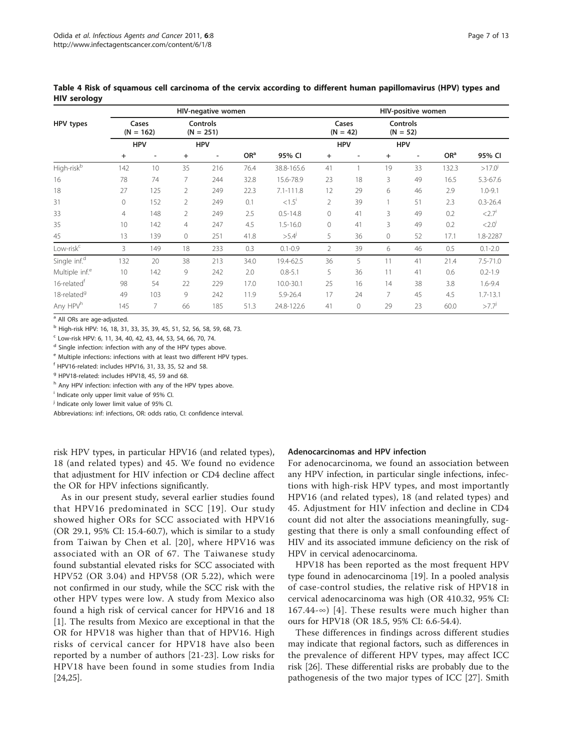|                            | HIV-negative women   |                          |                                |                          |                 |                      |                     | HIV-positive women |                               |                          |                 |                     |
|----------------------------|----------------------|--------------------------|--------------------------------|--------------------------|-----------------|----------------------|---------------------|--------------------|-------------------------------|--------------------------|-----------------|---------------------|
| HPV types                  | Cases<br>$(N = 162)$ |                          | <b>Controls</b><br>$(N = 251)$ |                          |                 |                      | Cases<br>$(N = 42)$ |                    | <b>Controls</b><br>$(N = 52)$ |                          |                 |                     |
|                            |                      | <b>HPV</b>               | <b>HPV</b>                     |                          |                 |                      | <b>HPV</b>          |                    | <b>HPV</b>                    |                          |                 |                     |
|                            | $\ddot{}$            | $\overline{\phantom{a}}$ | $^{+}$                         | $\overline{\phantom{a}}$ | OR <sup>a</sup> | 95% CI               | $+$                 |                    | $\ddot{}$                     | $\overline{\phantom{a}}$ | OR <sup>a</sup> | 95% CI              |
| High-risk <sup>b</sup>     | 142                  | 10                       | 35                             | 216                      | 76.4            | 38.8-165.6           | 41                  |                    | 19                            | 33                       | 132.3           | $>17.0^{j}$         |
| 16                         | 78                   | 74                       |                                | 244                      | 32.8            | 15.6-78.9            | 23                  | 18                 | 3                             | 49                       | 16.5            | $5.3 - 67.6$        |
| 18                         | 27                   | 125                      | 2                              | 249                      | 22.3            | $7.1 - 111.8$        | 12                  | 29                 | 6                             | 46                       | 2.9             | $1.0 - 9.1$         |
| 31                         | $\Omega$             | 152                      | 2                              | 249                      | 0.1             | $< 1.5$ <sup>i</sup> | $\overline{2}$      | 39                 |                               | 51                       | 2.3             | $0.3 - 26.4$        |
| 33                         | $\overline{4}$       | 148                      | 2                              | 249                      | 2.5             | $0.5 - 14.8$         | $\overline{0}$      | 41                 | 3                             | 49                       | 0.2             | < 2.7'              |
| 35                         | 10                   | 142                      | $\overline{4}$                 | 247                      | 4.5             | $1.5 - 16.0$         | $\Omega$            | 41                 | 3                             | 49                       | 0.2             | $< 2.0^\circ$       |
| 45                         | 13                   | 139                      | 0                              | 251                      | 41.8            | >5.4                 | 5                   | 36                 | $\circ$                       | 52                       | 17.1            | 1.8-2287            |
| Low-risk <sup>c</sup>      | 3                    | 149                      | 18                             | 233                      | 0.3             | $0.1 - 0.9$          | $\overline{2}$      | 39                 | 6                             | 46                       | 0.5             | $0.1 - 2.0$         |
| Single inf. <sup>d</sup>   | 132                  | 20                       | 38                             | 213                      | 34.0            | 19.4-62.5            | 36                  | 5                  | 11                            | 41                       | 21.4            | $7.5 - 71.0$        |
| Multiple inf. <sup>e</sup> | 10                   | 142                      | 9                              | 242                      | 2.0             | $0.8 - 5.1$          | 5                   | 36                 | 11                            | 41                       | 0.6             | $0.2 - 1.9$         |
| 16-related <sup>†</sup>    | 98                   | 54                       | 22                             | 229                      | 17.0            | $10.0 - 30.1$        | 25                  | 16                 | 14                            | 38                       | 3.8             | $1.6 - 9.4$         |
| 18-related <sup>9</sup>    | 49                   | 103                      | 9                              | 242                      | 11.9            | 5.9-26.4             | 17                  | 24                 | 7                             | 45                       | 4.5             | $1.7 - 13.1$        |
| Any HPV <sup>h</sup>       | 145                  | 7                        | 66                             | 185                      | 51.3            | 24.8-122.6           | 41                  | 0                  | 29                            | 23                       | 60.0            | $>7.7$ <sup>J</sup> |

<span id="page-6-0"></span>Table 4 Risk of squamous cell carcinoma of the cervix according to different human papillomavirus (HPV) types and HIV serology

<sup>a</sup> All ORs are age-adjusted.

<sup>b</sup> High-risk HPV: 16, 18, 31, 33, 35, 39, 45, 51, 52, 56, 58, 59, 68, 73.

<sup>c</sup> Low-risk HPV: 6, 11, 34, 40, 42, 43, 44, 53, 54, 66, 70, 74.

<sup>d</sup> Single infection: infection with any of the HPV types above.

<sup>e</sup> Multiple infections: infections with at least two different HPV types.

<sup>f</sup> HPV16-related: includes HPV16, 31, 33, 35, 52 and 58.

<sup>9</sup> HPV18-related: includes HPV18, 45, 59 and 68.

h Any HPV infection: infection with any of the HPV types above.

<sup>i</sup> Indicate only upper limit value of 95% CI.

<sup>j</sup> Indicate only lower limit value of 95% CI.

Abbreviations: inf: infections, OR: odds ratio, CI: confidence interval.

risk HPV types, in particular HPV16 (and related types), 18 (and related types) and 45. We found no evidence that adjustment for HIV infection or CD4 decline affect the OR for HPV infections significantly.

As in our present study, several earlier studies found that HPV16 predominated in SCC [[19\]](#page-11-0). Our study showed higher ORs for SCC associated with HPV16 (OR 29.1, 95% CI: 15.4-60.7), which is similar to a study from Taiwan by Chen et al. [[20](#page-11-0)], where HPV16 was associated with an OR of 67. The Taiwanese study found substantial elevated risks for SCC associated with HPV52 (OR 3.04) and HPV58 (OR 5.22), which were not confirmed in our study, while the SCC risk with the other HPV types were low. A study from Mexico also found a high risk of cervical cancer for HPV16 and 18 [[1\]](#page-11-0). The results from Mexico are exceptional in that the OR for HPV18 was higher than that of HPV16. High risks of cervical cancer for HPV18 have also been reported by a number of authors [\[21](#page-11-0)-[23](#page-11-0)]. Low risks for HPV18 have been found in some studies from India [[24,25\]](#page-11-0).

#### Adenocarcinomas and HPV infection

For adenocarcinoma, we found an association between any HPV infection, in particular single infections, infections with high-risk HPV types, and most importantly HPV16 (and related types), 18 (and related types) and 45. Adjustment for HIV infection and decline in CD4 count did not alter the associations meaningfully, suggesting that there is only a small confounding effect of HIV and its associated immune deficiency on the risk of HPV in cervical adenocarcinoma.

HPV18 has been reported as the most frequent HPV type found in adenocarcinoma [[19\]](#page-11-0). In a pooled analysis of case-control studies, the relative risk of HPV18 in cervical adenocarcinoma was high (OR 410.32, 95% CI: 167.44-∞) [[4](#page-11-0)]. These results were much higher than ours for HPV18 (OR 18.5, 95% CI: 6.6-54.4).

These differences in findings across different studies may indicate that regional factors, such as differences in the prevalence of different HPV types, may affect ICC risk [\[26\]](#page-11-0). These differential risks are probably due to the pathogenesis of the two major types of ICC [\[27](#page-11-0)]. Smith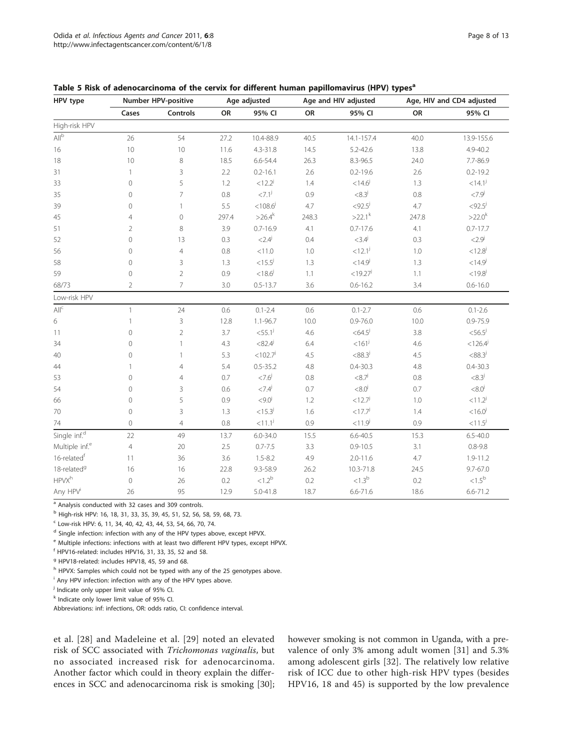<span id="page-7-0"></span>

| Table 5 Risk of adenocarcinoma of the cervix for different human papillomavirus (HPV) types <sup>a</sup> |  |  |  |
|----------------------------------------------------------------------------------------------------------|--|--|--|
|----------------------------------------------------------------------------------------------------------|--|--|--|

| HPV type                    | Number HPV-positive |                |         | Age adjusted          |         | Age and HIV adjusted  | Age, HIV and CD4 adjusted |                       |  |
|-----------------------------|---------------------|----------------|---------|-----------------------|---------|-----------------------|---------------------------|-----------------------|--|
|                             | Cases               | Controls       | OR      | 95% CI                | OR      | 95% CI                | OR                        | 95% CI                |  |
| High-risk HPV               |                     |                |         |                       |         |                       |                           |                       |  |
| $\mathsf{All}^{\mathsf{b}}$ | 26                  | 54             | 27.2    | 10.4-88.9             | 40.5    | 14.1-157.4            | 40.0                      | 13.9-155.6            |  |
| 16                          | $10$                | 10             | 11.6    | $4.3 - 31.8$          | 14.5    | $5.2 - 42.6$          | 13.8                      | 4.9-40.2              |  |
| 18                          | 10                  | 8              | 18.5    | 6.6-54.4              | 26.3    | 8.3-96.5              | 24.0                      | 7.7-86.9              |  |
| 31                          | 1                   | 3              | 2.2     | $0.2 - 16.1$          | 2.6     | $0.2 - 19.6$          | $2.6\,$                   | $0.2 - 19.2$          |  |
| 33                          | $\mathsf{O}\xspace$ | 5              | $1.2\,$ | $< 12.2^{j}$          | 1.4     | $<$ 14.6 <sup>j</sup> | 1.3                       | $<14.1^{j}$           |  |
| 35                          | 0                   | $\overline{7}$ | $0.8\,$ | $-27.1^{j}$           | 0.9     | $<8.3^{j}$            | 0.8                       | ${<}7.9^{j}$          |  |
| 39                          | 0                   | $\mathbf{1}$   | 5.5     | $< 108.6^{j}$         | 4.7     | $< 92.5^{j}$          | 4.7                       | $<$ 92.5 $^j$         |  |
| 45                          | 4                   | $\mathcal O$   | 297.4   | $>26.4^k$             | 248.3   | $>22.1^{k}$           | 247.8                     | $>22.0^{k}$           |  |
| 51                          | $\overline{2}$      | 8              | 3.9     | $0.7 - 16.9$          | 4.1     | $0.7 - 17.6$          | 4.1                       | $0.7 - 17.7$          |  |
| 52                          | $\mathcal O$        | 13             | 0.3     | $< 2.4^{j}$           | 0.4     | $<3.4^{j}$            | $0.3\,$                   | $< 2.9^{\circ}$       |  |
| 56                          | 0                   | $\overline{4}$ | $0.8\,$ | < 11.0                | 1.0     | $< 12.1^j$            | $1.0\,$                   | $< 12.8^{j}$          |  |
| 58                          | 0                   | 3              | 1.3     | $<$ 15.5 <sup>j</sup> | 1.3     | $<$ 14.9 $^{j}$       | 1.3                       | $<$ 14.9 $^{j}$       |  |
| 59                          | $\mathsf{O}\xspace$ | $\overline{2}$ | 0.9     | $< 18.6^{j}$          | $1.1\,$ | $<$ 19.27 $^{j}$      | 1.1                       | $<$ 19.8 $^{j}$       |  |
| 68/73                       | 2                   | $\overline{7}$ | 3.0     | $0.5 - 13.7$          | 3.6     | $0.6 - 16.2$          | 3.4                       | $0.6 - 16.0$          |  |
| Low-risk HPV                |                     |                |         |                       |         |                       |                           |                       |  |
| $\mathsf{All}^\mathsf{C}$   | $\mathbf{1}$        | 24             | 0.6     | $0.1 - 2.4$           | 0.6     | $0.1 - 2.7$           | 0.6                       | $0.1 - 2.6$           |  |
| 6                           | 1                   | 3              | 12.8    | 1.1-96.7              | 10.0    | $0.9 - 76.0$          | 10.0                      | $0.9 - 75.9$          |  |
| 11                          | $\circledcirc$      | $\overline{2}$ | 3.7     | $<$ 55.1 <sup>j</sup> | 4.6     | $<$ 64.5 $^{j}$       | 3.8                       | $<$ 56.5 $^{j}$       |  |
| 34                          | $\mathbf 0$         | $\mathbf{1}$   | 4.3     | $<82.4^{j}$           | 6.4     | $< 161^{j}$           | 4.6                       | $< 126.4^{j}$         |  |
| 40                          | 0                   | $\mathbf{1}$   | 5.3     | $<$ 102.7 $^{j}$      | 4.5     | $< 88.3^{j}$          | 4.5                       | $<88.3^{j}$           |  |
| 44                          |                     | 4              | 5.4     | $0.5 - 35.2$          | 4.8     | $0.4 - 30.3$          | 4.8                       | $0.4 - 30.3$          |  |
| 53                          | $\mathsf{O}\xspace$ | $\overline{4}$ | 0.7     | $< 7.6^{j}$           | 0.8     | ${<}8.7^{j}$          | $0.8\,$                   | $<8.3^{j}$            |  |
| 54                          | 0                   | 3              | 0.6     | $< 7.4^{j}$           | 0.7     | $<8.0^{\rm j}$        | 0.7                       | $< 8.0^{j}$           |  |
| 66                          | $\circ$             | 5              | 0.9     | $< 9.0^{j}$           | 1.2     | < 12.7 <sup>j</sup>   | 1.0                       | $< 11.2^{j}$          |  |
| 70                          | $\circledcirc$      | 3              | 1.3     | $<$ 15.3 $^{j}$       | 1.6     | $<$ 17.7 $^{j}$       | 1.4                       | $< 16.0^{j}$          |  |
| 74                          | 0                   | $\overline{4}$ | $0.8\,$ | ${<}11.1j$            | 0.9     | $< 11.9^{j}$          | 0.9                       | $<$ 11.5 <sup>j</sup> |  |
| Single inf. <sup>d</sup>    | 22                  | 49             | 13.7    | $6.0 - 34.0$          | 15.5    | $6.6 - 40.5$          | 15.3                      | $6.5 - 40.0$          |  |
| Multiple inf. <sup>e</sup>  | $\overline{4}$      | 20             | 2.5     | $0.7 - 7.5$           | 3.3     | $0.9 - 10.5$          | 3.1                       | $0.8 - 9.8$           |  |
| 16-relatedf                 | 11                  | 36             | 3.6     | $1.5 - 8.2$           | 4.9     | $2.0 - 11.6$          | 4.7                       | 1.9-11.2              |  |
| 18-related <sup>9</sup>     | 16                  | 16             | 22.8    | 9.3-58.9              | 26.2    | 10.3-71.8             | 24.5                      | $9.7 - 67.0$          |  |
| <b>HPVXh</b>                | $\mathbf 0$         | 26             | 0.2     | < 1.2 <sup>b</sup>    | 0.2     | ${<}1.3^{\rm b}$      | 0.2                       | $<1.5^{\rm b}$        |  |
| Any HPV <sup>i</sup>        | 26                  | 95             | 12.9    | $5.0 - 41.8$          | 18.7    | $6.6 - 71.6$          | 18.6                      | $6.6 - 71.2$          |  |

a Analysis conducted with 32 cases and 309 controls.

<sup>b</sup> High-risk HPV: 16, 18, 31, 33, 35, 39, 45, 51, 52, 56, 58, 59, 68, 73.

<sup>c</sup> Low-risk HPV: 6, 11, 34, 40, 42, 43, 44, 53, 54, 66, 70, 74.

<sup>d</sup> Single infection: infection with any of the HPV types above, except HPVX.

<sup>e</sup> Multiple infections: infections with at least two different HPV types, except HPVX.

<sup>f</sup> HPV16-related: includes HPV16, 31, 33, 35, 52 and 58.

<sup>g</sup> HPV18-related: includes HPV18, 45, 59 and 68.

h HPVX: Samples which could not be typed with any of the 25 genotypes above.

<sup>i</sup> Any HPV infection: infection with any of the HPV types above.

<sup>j</sup> Indicate only upper limit value of 95% Cl.

<sup>k</sup> Indicate only lower limit value of 95% CI.

Abbreviations: inf: infections, OR: odds ratio, CI: confidence interval.

et al. [[28](#page-11-0)] and Madeleine et al. [[29](#page-11-0)] noted an elevated risk of SCC associated with Trichomonas vaginalis, but no associated increased risk for adenocarcinoma. Another factor which could in theory explain the differences in SCC and adenocarcinoma risk is smoking [\[30](#page-11-0)]; however smoking is not common in Uganda, with a prevalence of only 3% among adult women [\[31](#page-11-0)] and 5.3% among adolescent girls [[32](#page-11-0)]. The relatively low relative risk of ICC due to other high-risk HPV types (besides HPV16, 18 and 45) is supported by the low prevalence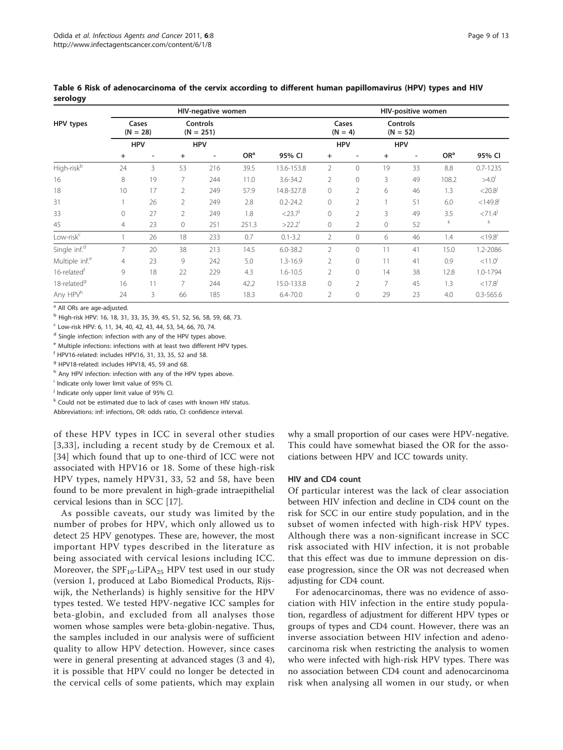|                            | <b>HIV-negative women</b> |                          |                                |                          |                 |                      |                    | HIV-positive women |                        |                          |                 |                       |  |
|----------------------------|---------------------------|--------------------------|--------------------------------|--------------------------|-----------------|----------------------|--------------------|--------------------|------------------------|--------------------------|-----------------|-----------------------|--|
| HPV types                  | Cases<br>$(N = 28)$       |                          | <b>Controls</b><br>$(N = 251)$ |                          |                 |                      | Cases<br>$(N = 4)$ |                    | Controls<br>$(N = 52)$ |                          |                 |                       |  |
|                            |                           | <b>HPV</b>               | <b>HPV</b>                     |                          |                 |                      | <b>HPV</b>         |                    | <b>HPV</b>             |                          |                 |                       |  |
|                            | $+$                       | $\overline{\phantom{a}}$ | $+$                            | $\overline{\phantom{a}}$ | OR <sup>a</sup> | 95% CI               | $+$                | ٠                  | $\ddot{}$              | $\overline{\phantom{a}}$ | OR <sup>a</sup> | 95% CI                |  |
| High-risk <sup>b</sup>     | 24                        | 3                        | 53                             | 216                      | 39.5            | 13.6-153.8           | $\overline{2}$     | $\circ$            | 19                     | 33                       | 8.8             | $0.7 - 1235$          |  |
| 16                         | 8                         | 19                       | 7                              | 244                      | 11.0            | 3.6-34.2             | $\overline{2}$     | $\circ$            | 3                      | 49                       | 108.2           | $>4.0^{\circ}$        |  |
| 18                         | 10                        | 17                       | $\overline{2}$                 | 249                      | 57.9            | 14.8-327.8           | $\circ$            | 2                  | 6                      | 46                       | 1.3             | $<$ 20.8 <sup>j</sup> |  |
| 31                         |                           | 26                       | $\mathcal{P}$                  | 249                      | 2.8             | $0.2 - 24.2$         | $\Omega$           | 2                  |                        | 51                       | 6.0             | $<$ 149.8 $^{j}$      |  |
| 33                         | 0                         | 27                       | $\overline{2}$                 | 249                      | 1.8             | $<$ 23.7 $j$         | $\Omega$           | $\overline{2}$     | 3                      | 49                       | 3.5             | $< 71.4$ <sup>J</sup> |  |
| 45                         | 4                         | 23                       | $\circ$                        | 251                      | 251.3           | $>22.2$ <sup>i</sup> | $\circ$            | 2                  | $\circ$                | 52                       | k               | k                     |  |
| $Low-riskc$                |                           | 26                       | 18                             | 233                      | 0.7             | $0.1 - 3.2$          | $\overline{2}$     | $\circ$            | 6                      | 46                       | 1.4             | $<$ 19.8 $^{j}$       |  |
| Single inf. <sup>d</sup>   | 7                         | 20                       | 38                             | 213                      | 14.5            | $6.0 - 38.2$         | $\overline{2}$     | $\Omega$           | 11                     | 41                       | 15.0            | 1.2-2086              |  |
| Multiple inf. <sup>e</sup> | 4                         | 23                       | 9                              | 242                      | 5.0             | $1.3 - 16.9$         | $\overline{2}$     | $\circ$            | 11                     | 41                       | 0.9             | < 11.0 <sup>j</sup>   |  |
| 16-related <sup>t</sup>    | 9                         | 18                       | 22                             | 229                      | 4.3             | $1.6 - 10.5$         | $\overline{2}$     | $\circ$            | 14                     | 38                       | 12.8            | 1.0-1794              |  |
| 18-related <sup>9</sup>    | 16                        | 11                       | 7                              | 244                      | 42.2            | 15.0-133.8           | $\circ$            | 2                  | 7                      | 45                       | 1.3             | $<17.8$ <sup>J</sup>  |  |
| Any HPV <sup>h</sup>       | 24                        | 3                        | 66                             | 185                      | 18.3            | $6.4 - 70.0$         | $\overline{2}$     | $\circ$            | 29                     | 23                       | 4.0             | $0.3 - 565.6$         |  |

<span id="page-8-0"></span>Table 6 Risk of adenocarcinoma of the cervix according to different human papillomavirus (HPV) types and HIV serology

<sup>a</sup> All ORs are age-adjusted.

<sup>b</sup> High-risk HPV: 16, 18, 31, 33, 35, 39, 45, 51, 52, 56, 58, 59, 68, 73.

<sup>c</sup> Low-risk HPV: 6, 11, 34, 40, 42, 43, 44, 53, 54, 66, 70, 74.

d Single infection: infection with any of the HPV types above.

<sup>e</sup> Multiple infections: infections with at least two different HPV types.

<sup>f</sup> HPV16-related: includes HPV16, 31, 33, 35, 52 and 58.

<sup>9</sup> HPV18-related: includes HPV18, 45, 59 and 68

h Any HPV infection: infection with any of the HPV types above.

<sup>i</sup> Indicate only lower limit value of 95% CI.

<sup>j</sup> Indicate only upper limit value of 95% CI.

k Could not be estimated due to lack of cases with known HIV status.

Abbreviations: inf: infections, OR: odds ratio, CI: confidence interval.

of these HPV types in ICC in several other studies [[3](#page-11-0),[33](#page-11-0)], including a recent study by de Cremoux et al. [[34](#page-12-0)] which found that up to one-third of ICC were not associated with HPV16 or 18. Some of these high-risk HPV types, namely HPV31, 33, 52 and 58, have been found to be more prevalent in high-grade intraepithelial cervical lesions than in SCC [[17](#page-11-0)].

As possible caveats, our study was limited by the number of probes for HPV, which only allowed us to detect 25 HPV genotypes. These are, however, the most important HPV types described in the literature as being associated with cervical lesions including ICC. Moreover, the  ${\rm SPF}_{10}{\text{-}}{\rm LiPA}_{25}$  HPV test used in our study (version 1, produced at Labo Biomedical Products, Rijswijk, the Netherlands) is highly sensitive for the HPV types tested. We tested HPV-negative ICC samples for beta-globin, and excluded from all analyses those women whose samples were beta-globin-negative. Thus, the samples included in our analysis were of sufficient quality to allow HPV detection. However, since cases were in general presenting at advanced stages (3 and 4), it is possible that HPV could no longer be detected in the cervical cells of some patients, which may explain why a small proportion of our cases were HPV-negative. This could have somewhat biased the OR for the associations between HPV and ICC towards unity.

#### HIV and CD4 count

Of particular interest was the lack of clear association between HIV infection and decline in CD4 count on the risk for SCC in our entire study population, and in the subset of women infected with high-risk HPV types. Although there was a non-significant increase in SCC risk associated with HIV infection, it is not probable that this effect was due to immune depression on disease progression, since the OR was not decreased when adjusting for CD4 count.

For adenocarcinomas, there was no evidence of association with HIV infection in the entire study population, regardless of adjustment for different HPV types or groups of types and CD4 count. However, there was an inverse association between HIV infection and adenocarcinoma risk when restricting the analysis to women who were infected with high-risk HPV types. There was no association between CD4 count and adenocarcinoma risk when analysing all women in our study, or when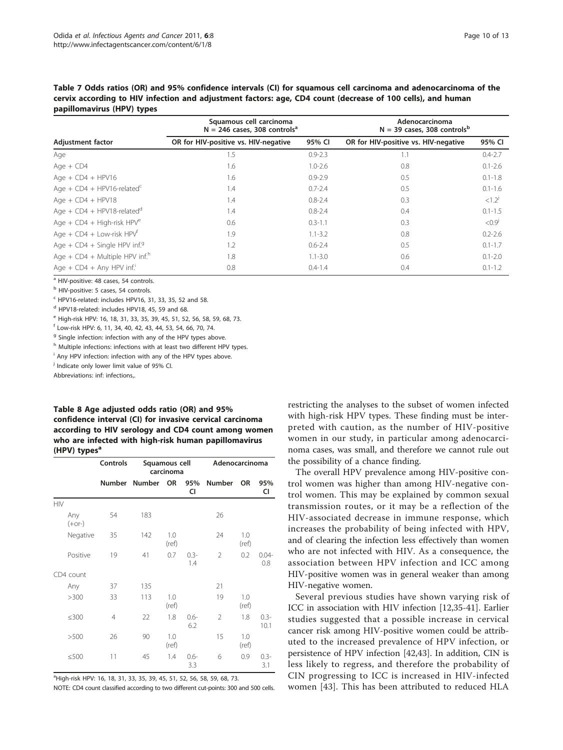<span id="page-9-0"></span>Table 7 Odds ratios (OR) and 95% confidence intervals (CI) for squamous cell carcinoma and adenocarcinoma of the cervix according to HIV infection and adjustment factors: age, CD4 count (decrease of 100 cells), and human papillomavirus (HPV) types

|                                              | Squamous cell carcinoma<br>$N = 246$ cases, 308 controls <sup>a</sup> |             | Adenocarcinoma<br>$N = 39$ cases, 308 controls <sup>b</sup> |                 |  |  |
|----------------------------------------------|-----------------------------------------------------------------------|-------------|-------------------------------------------------------------|-----------------|--|--|
| <b>Adjustment factor</b>                     | OR for HIV-positive vs. HIV-negative                                  | 95% CI      | OR for HIV-positive vs. HIV-negative                        | 95% CI          |  |  |
| Age                                          | 1.5                                                                   | $0.9 - 2.3$ | 1.1                                                         | $0.4 - 2.7$     |  |  |
| Age $+$ CD4                                  | 1.6                                                                   | $1.0 - 2.6$ | 0.8                                                         | $0.1 - 2.6$     |  |  |
| Age + $CD4$ + $HPV16$                        | 1.6                                                                   | $0.9 - 2.9$ | 0.5                                                         | $0.1 - 1.8$     |  |  |
| Age + $CD4$ + HPV16-related <sup>c</sup>     | 1.4                                                                   | $0.7 - 2.4$ | 0.5                                                         | $0.1 - 1.6$     |  |  |
| Age + $CD4$ + $HPV18$                        | 1.4                                                                   | $0.8 - 2.4$ | 0.3                                                         | $< 1.2^{\circ}$ |  |  |
| Age + $CD4$ + HPV18-related <sup>d</sup>     | 1.4                                                                   | $0.8 - 2.4$ | 0.4                                                         | $0.1 - 1.5$     |  |  |
| Age + $CD4$ + High-risk HPV <sup>e</sup>     | 0.6                                                                   | $0.3 - 1.1$ | 0.3                                                         | < 0.9           |  |  |
| Age + $CD4 + Low-risk$ HPV <sup>t</sup>      | 1.9                                                                   | $1.1 - 3.2$ | 0.8                                                         | $0.2 - 2.6$     |  |  |
| Age + $CD4$ + Single HPV inf. <sup>9</sup>   | 1.2                                                                   | $0.6 - 2.4$ | 0.5                                                         | $0.1 - 1.7$     |  |  |
| Age + $CD4$ + Multiple HPV inf. <sup>h</sup> | 1.8                                                                   | $1.1 - 3.0$ | 0.6                                                         | $0.1 - 2.0$     |  |  |
| Age + $CD4 + Any HPV$ inf.                   | 0.8                                                                   | $0.4 - 1.4$ | 0.4                                                         | $0.1 - 1.2$     |  |  |

<sup>a</sup> HIV-positive: 48 cases, 54 controls.

<sup>b</sup> HIV-positive: 5 cases, 54 controls.

 $c$  HPV16-related: includes HPV16, 31, 33, 35, 52 and 58.

<sup>d</sup> HPV18-related: includes HPV18, 45, 59 and 68.

<sup>e</sup> High-risk HPV: 16, 18, 31, 33, 35, 39, 45, 51, 52, 56, 58, 59, 68, 73.

<sup>f</sup> Low-risk HPV: 6, 11, 34, 40, 42, 43, 44, 53, 54, 66, 70, 74.

<sup>9</sup> Single infection: infection with any of the HPV types above.

h Multiple infections: infections with at least two different HPV types.

<sup>i</sup> Any HPV infection: infection with any of the HPV types above.

<sup>j</sup> Indicate only lower limit value of 95% CI.

Abbreviations: inf: infections,.

## Table 8 Age adjusted odds ratio (OR) and 95% confidence interval (CI) for invasive cervical carcinoma according to HIV serology and CD4 count among women who are infected with high-risk human papillomavirus (HPV) types<sup>a</sup>

|                 | Controls       | Squamous cell<br>carcinoma |              |                | Adenocarcinoma |              |                 |
|-----------------|----------------|----------------------------|--------------|----------------|----------------|--------------|-----------------|
|                 |                | Number Number OR           |              | 95%<br>CI      | <b>Number</b>  | <b>OR</b>    | 95%<br>CI       |
| <b>HIV</b>      |                |                            |              |                |                |              |                 |
| Any<br>$(+or-)$ | 54             | 183                        |              |                | 26             |              |                 |
| Negative        | 35             | 142                        | 1.0<br>(ref) |                | 24             | 1.0<br>(ref) |                 |
| Positive        | 19             | 41                         | 0.7          | $0.3 -$<br>1.4 | $\overline{2}$ | 0.2          | $0.04 -$<br>0.8 |
| CD4 count       |                |                            |              |                |                |              |                 |
| Any             | 37             | 135                        |              |                | 21             |              |                 |
| >300            | 33             | 113                        | 1.0<br>(ref) |                | 19             | 1.0<br>(ref) |                 |
| ≤300            | $\overline{4}$ | 22                         | 1.8          | $0.6 -$<br>6.2 | $\mathfrak{D}$ | 1.8          | $0.3 -$<br>10.1 |
| >500            | 26             | 90                         | 1.0<br>(ref) |                | 15             | 1.0<br>(ref) |                 |
| ≤500            | 11             | 45                         | 1.4          | $0.6 -$<br>3.3 | 6              | 0.9          | $0.3 -$<br>3.1  |

<sup>a</sup>High-risk HPV: 16, 18, 31, 33, 35, 39, 45, 51, 52, 56, 58, 59, 68, 73.

NOTE: CD4 count classified according to two different cut-points: 300 and 500 cells.

restricting the analyses to the subset of women infected with high-risk HPV types. These finding must be interpreted with caution, as the number of HIV-positive women in our study, in particular among adenocarcinoma cases, was small, and therefore we cannot rule out the possibility of a chance finding.

The overall HPV prevalence among HIV-positive control women was higher than among HIV-negative control women. This may be explained by common sexual transmission routes, or it may be a reflection of the HIV-associated decrease in immune response, which increases the probability of being infected with HPV, and of clearing the infection less effectively than women who are not infected with HIV. As a consequence, the association between HPV infection and ICC among HIV-positive women was in general weaker than among HIV-negative women.

Several previous studies have shown varying risk of ICC in association with HIV infection [\[12,](#page-11-0)[35-41](#page-12-0)]. Earlier studies suggested that a possible increase in cervical cancer risk among HIV-positive women could be attributed to the increased prevalence of HPV infection, or persistence of HPV infection [\[42,43\]](#page-12-0). In addition, CIN is less likely to regress, and therefore the probability of CIN progressing to ICC is increased in HIV-infected women [[43](#page-12-0)]. This has been attributed to reduced HLA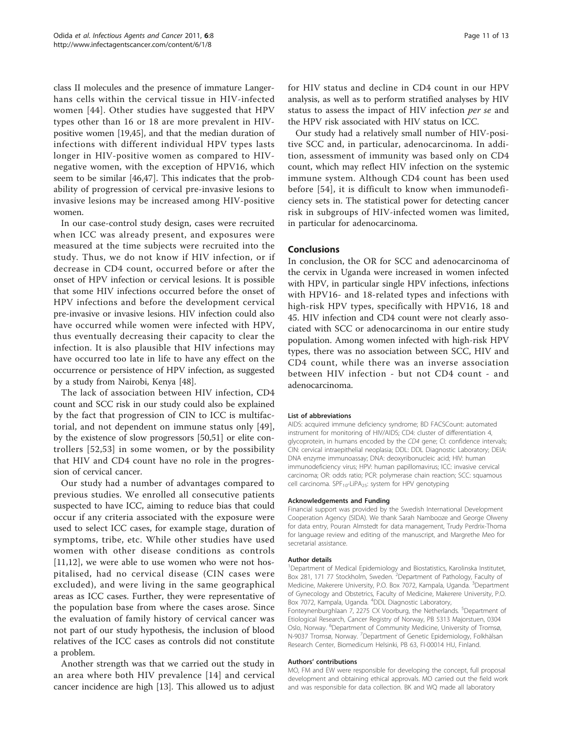class II molecules and the presence of immature Langerhans cells within the cervical tissue in HIV-infected women [\[44\]](#page-12-0). Other studies have suggested that HPV types other than 16 or 18 are more prevalent in HIVpositive women [\[19](#page-11-0)[,45](#page-12-0)], and that the median duration of infections with different individual HPV types lasts longer in HIV-positive women as compared to HIVnegative women, with the exception of HPV16, which seem to be similar [[46,47\]](#page-12-0). This indicates that the probability of progression of cervical pre-invasive lesions to invasive lesions may be increased among HIV-positive women.

In our case-control study design, cases were recruited when ICC was already present, and exposures were measured at the time subjects were recruited into the study. Thus, we do not know if HIV infection, or if decrease in CD4 count, occurred before or after the onset of HPV infection or cervical lesions. It is possible that some HIV infections occurred before the onset of HPV infections and before the development cervical pre-invasive or invasive lesions. HIV infection could also have occurred while women were infected with HPV, thus eventually decreasing their capacity to clear the infection. It is also plausible that HIV infections may have occurred too late in life to have any effect on the occurrence or persistence of HPV infection, as suggested by a study from Nairobi, Kenya [[48](#page-12-0)].

The lack of association between HIV infection, CD4 count and SCC risk in our study could also be explained by the fact that progression of CIN to ICC is multifactorial, and not dependent on immune status only [[49](#page-12-0)], by the existence of slow progressors [[50](#page-12-0),[51](#page-12-0)] or elite controllers [\[52,53\]](#page-12-0) in some women, or by the possibility that HIV and CD4 count have no role in the progression of cervical cancer.

Our study had a number of advantages compared to previous studies. We enrolled all consecutive patients suspected to have ICC, aiming to reduce bias that could occur if any criteria associated with the exposure were used to select ICC cases, for example stage, duration of symptoms, tribe, etc. While other studies have used women with other disease conditions as controls [[11,12](#page-11-0)], we were able to use women who were not hospitalised, had no cervical disease (CIN cases were excluded), and were living in the same geographical areas as ICC cases. Further, they were representative of the population base from where the cases arose. Since the evaluation of family history of cervical cancer was not part of our study hypothesis, the inclusion of blood relatives of the ICC cases as controls did not constitute a problem.

Another strength was that we carried out the study in an area where both HIV prevalence [[14](#page-11-0)] and cervical cancer incidence are high [\[13](#page-11-0)]. This allowed us to adjust for HIV status and decline in CD4 count in our HPV analysis, as well as to perform stratified analyses by HIV status to assess the impact of HIV infection per se and the HPV risk associated with HIV status on ICC.

Our study had a relatively small number of HIV-positive SCC and, in particular, adenocarcinoma. In addition, assessment of immunity was based only on CD4 count, which may reflect HIV infection on the systemic immune system. Although CD4 count has been used before [[54](#page-12-0)], it is difficult to know when immunodeficiency sets in. The statistical power for detecting cancer risk in subgroups of HIV-infected women was limited, in particular for adenocarcinoma.

## Conclusions

In conclusion, the OR for SCC and adenocarcinoma of the cervix in Uganda were increased in women infected with HPV, in particular single HPV infections, infections with HPV16- and 18-related types and infections with high-risk HPV types, specifically with HPV16, 18 and 45. HIV infection and CD4 count were not clearly associated with SCC or adenocarcinoma in our entire study population. Among women infected with high-risk HPV types, there was no association between SCC, HIV and CD4 count, while there was an inverse association between HIV infection - but not CD4 count - and adenocarcinoma.

#### List of abbreviations

AIDS: acquired immune deficiency syndrome; BD FACSCount: automated instrument for monitoring of HIV/AIDS; CD4: cluster of differentiation 4, glycoprotein, in humans encoded by the CD4 gene; CI: confidence intervals; CIN: cervical intraepithelial neoplasia; DDL: DDL Diagnostic Laboratory; DEIA: DNA enzyme immunoassay; DNA: deoxyribonucleic acid; HIV: human immunodeficiency virus; HPV: human papillomavirus; ICC: invasive cervical carcinoma; OR: odds ratio; PCR: polymerase chain reaction; SCC: squamous cell carcinoma. SPF<sub>10</sub>-LiPA<sub>25</sub>: system for HPV genotyping

#### Acknowledgements and Funding

Financial support was provided by the Swedish International Development Cooperation Agency (SIDA). We thank Sarah Nambooze and George Olweny for data entry, Pouran Almstedt for data management, Trudy Perdrix-Thoma for language review and editing of the manuscript, and Margrethe Meo for secretarial assistance.

#### Author details

<sup>1</sup>Department of Medical Epidemiology and Biostatistics, Karolinska Institutet Box 281, 171 77 Stockholm, Sweden. <sup>2</sup>Department of Pathology, Faculty of Medicine, Makerere University, P.O. Box 7072, Kampala, Uganda. <sup>3</sup>Department of Gynecology and Obstetrics, Faculty of Medicine, Makerere University, P.O. Box 7072, Kampala, Uganda. <sup>4</sup> DDL Diagnostic Laboratory, Fonteynenburghlaan 7, 2275 CX Voorburg, the Netherlands. <sup>5</sup>Department of Etiological Research, Cancer Registry of Norway, PB 5313 Majorstuen, 0304

Oslo, Norway. <sup>6</sup>Department of Community Medicine, University of Tromsø N-9037 Tromsø, Norway. <sup>7</sup>Department of Genetic Epidemiology, Folkhälsan Research Center, Biomedicum Helsinki, PB 63, FI-00014 HU, Finland.

#### Authors' contributions

MO, FM and EW were responsible for developing the concept, full proposal development and obtaining ethical approvals. MO carried out the field work and was responsible for data collection. BK and WQ made all laboratory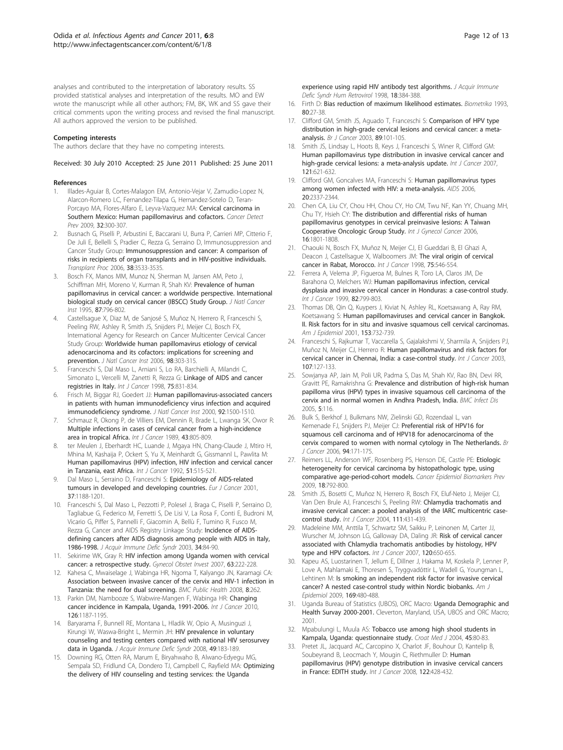<span id="page-11-0"></span>analyses and contributed to the interpretation of laboratory results. SS provided statistical analyses and interpretation of the results. MO and EW wrote the manuscript while all other authors; FM, BK, WK and SS gave their critical comments upon the writing process and revised the final manuscript. All authors approved the version to be published.

#### Competing interests

The authors declare that they have no competing interests.

Received: 30 July 2010 Accepted: 25 June 2011 Published: 25 June 2011

#### References

- 1. Illades-Aguiar B, Cortes-Malagon EM, Antonio-Vejar V, Zamudio-Lopez N, Alarcon-Romero LC, Fernandez-Tilapa G, Hernandez-Sotelo D, Teran-Porcayo MA, Flores-Alfaro E, Leyva-Vazquez MA: [Cervical carcinoma in](http://www.ncbi.nlm.nih.gov/pubmed/19022588?dopt=Abstract) [Southern Mexico: Human papillomavirus and cofactors.](http://www.ncbi.nlm.nih.gov/pubmed/19022588?dopt=Abstract) Cancer Detect Prev 2009, 32:300-307.
- 2. Busnach G, Piselli P, Arbustini E, Baccarani U, Burra P, Carrieri MP, Citterio F, De Juli E, Bellelli S, Pradier C, Rezza G, Serraino D, Immunosuppression and Cancer Study Group: [Immunosuppression and cancer: A comparison of](http://www.ncbi.nlm.nih.gov/pubmed/17175324?dopt=Abstract) [risks in recipients of organ transplants and in HIV-positive individuals.](http://www.ncbi.nlm.nih.gov/pubmed/17175324?dopt=Abstract) Transplant Proc 2006, 38:3533-3535.
- Bosch FX, Manos MM, Munoz N, Sherman M, Jansen AM, Peto J, Schiffman MH, Moreno V, Kurman R, Shah KV: [Prevalence of human](http://www.ncbi.nlm.nih.gov/pubmed/7791229?dopt=Abstract) [papillomavirus in cervical cancer: a worldwide perspective. International](http://www.ncbi.nlm.nih.gov/pubmed/7791229?dopt=Abstract) [biological study on cervical cancer \(IBSCC\) Study Group.](http://www.ncbi.nlm.nih.gov/pubmed/7791229?dopt=Abstract) J Natl Cancer Inst 1995, 87:796-802.
- Castellsague X, Diaz M, de Sanjosé S, Muñoz N, Herrero R, Franceschi S. Peeling RW, Ashley R, Smith JS, Snijders PJ, Meijer CJ, Bosch FX, International Agency for Research on Cancer Multicenter Cervical Cancer Study Group: [Worldwide human papillomavirus etiology of cervical](http://www.ncbi.nlm.nih.gov/pubmed/16507827?dopt=Abstract) [adenocarcinoma and its cofactors: implications for screening and](http://www.ncbi.nlm.nih.gov/pubmed/16507827?dopt=Abstract) [prevention.](http://www.ncbi.nlm.nih.gov/pubmed/16507827?dopt=Abstract) J Natl Cancer Inst 2006, 98:303-315.
- 5. Franceschi S, Dal Maso L, Arniani S, Lo RA, Barchielli A, Milandri C, Simonato L, Vercelli M, Zanetti R, Rezza G: [Linkage of AIDS and cancer](http://www.ncbi.nlm.nih.gov/pubmed/9506526?dopt=Abstract) [registries in Italy.](http://www.ncbi.nlm.nih.gov/pubmed/9506526?dopt=Abstract) Int J Cancer 1998, 75:831-834.
- Frisch M, Biggar RJ, Goedert JJ: [Human papillomavirus-associated cancers](http://www.ncbi.nlm.nih.gov/pubmed/10995805?dopt=Abstract) [in patients with human immunodeficiency virus infection and acquired](http://www.ncbi.nlm.nih.gov/pubmed/10995805?dopt=Abstract) [immunodeficiency syndrome.](http://www.ncbi.nlm.nih.gov/pubmed/10995805?dopt=Abstract) J Natl Cancer Inst 2000, 92:1500-1510.
- 7. Schmauz R, Okong P, de Villiers EM, Dennin R, Brade L, Lwanga SK, Owor R: [Multiple infections in cases of cervical cancer from a high-incidence](http://www.ncbi.nlm.nih.gov/pubmed/2714885?dopt=Abstract) [area in tropical Africa.](http://www.ncbi.nlm.nih.gov/pubmed/2714885?dopt=Abstract) Int J Cancer 1989, 43:805-809.
- ter Meulen J, Eberhardt HC, Luande J, Mgaya HN, Chang-Claude J, Mtiro H, Mhina M, Kashaija P, Ockert S, Yu X, Meinhardt G, Gissmannl L, Pawlita M: [Human papillomavirus \(HPV\) infection, HIV infection and cervical cancer](http://www.ncbi.nlm.nih.gov/pubmed/1318265?dopt=Abstract) [in Tanzania, east Africa.](http://www.ncbi.nlm.nih.gov/pubmed/1318265?dopt=Abstract) Int J Cancer 1992, 51:515-521.
- 9. Dal Maso L, Serraino D, Franceschi S: [Epidemiology of AIDS-related](http://www.ncbi.nlm.nih.gov/pubmed/11423251?dopt=Abstract) [tumours in developed and developing countries.](http://www.ncbi.nlm.nih.gov/pubmed/11423251?dopt=Abstract) Eur J Cancer 2001, 37:1188-1201.
- 10. Franceschi S, Dal Maso L, Pezzotti P, Polesel J, Braga C, Piselli P, Serraino D, Tagliabue G, Federico M, Ferretti S, De Lisi V, La Rosa F, Conti E, Budroni M, Vicario G, Piffer S, Pannelli F, Giacomin A, Bellù F, Tumino R, Fusco M, Rezza G, Cancer and AIDS Registry Linkage Study: [Incidence of AIDS](http://www.ncbi.nlm.nih.gov/pubmed/14501799?dopt=Abstract)[defining cancers after AIDS diagnosis among people with AIDS in Italy,](http://www.ncbi.nlm.nih.gov/pubmed/14501799?dopt=Abstract) [1986-1998.](http://www.ncbi.nlm.nih.gov/pubmed/14501799?dopt=Abstract) J Acquir Immune Defic Syndr 2003, 34:84-90.
- 11. Sekirime WK, Gray R: [HIV infection among Uganda women with cervical](http://www.ncbi.nlm.nih.gov/pubmed/17191009?dopt=Abstract) [cancer: a retrospective study.](http://www.ncbi.nlm.nih.gov/pubmed/17191009?dopt=Abstract) Gynecol Obstet Invest 2007, 63:222-228.
- 12. Kahesa C, Mwaiselage J, Wabinga HR, Ngoma T, Kalyango JN, Karamagi CA: [Association between invasive cancer of the cervix and HIV-1 infection in](http://www.ncbi.nlm.nih.gov/pubmed/18664298?dopt=Abstract) [Tanzania: the need for dual screening.](http://www.ncbi.nlm.nih.gov/pubmed/18664298?dopt=Abstract) BMC Public Health 2008, 8:262.
- 13. Parkin DM, Nambooze S, Wabwire-Mangen F, Wabinga HR: [Changing](http://www.ncbi.nlm.nih.gov/pubmed/19688826?dopt=Abstract) [cancer incidence in Kampala, Uganda, 1991-2006.](http://www.ncbi.nlm.nih.gov/pubmed/19688826?dopt=Abstract) Int J Cancer 2010, 126:1187-1195.
- 14. Baryarama F, Bunnell RE, Montana L, Hladik W, Opio A, Musinguzi J, Kirungi W, Waswa-Bright L, Mermin JH: [HIV prevalence in voluntary](http://www.ncbi.nlm.nih.gov/pubmed/18769350?dopt=Abstract) [counseling and testing centers compared with national HIV serosurvey](http://www.ncbi.nlm.nih.gov/pubmed/18769350?dopt=Abstract) [data in Uganda.](http://www.ncbi.nlm.nih.gov/pubmed/18769350?dopt=Abstract) J Acquir Immune Defic Syndr 2008, 49:183-189.
- 15. Downing RG, Otten RA, Marum E, Biryahwaho B, Alwano-Edyegu MG, Sempala SD, Fridlund CA, Dondero TJ, Campbell C, Rayfield MA: [Optimizing](http://www.ncbi.nlm.nih.gov/pubmed/9704945?dopt=Abstract) [the delivery of HIV counseling and testing services: the Uganda](http://www.ncbi.nlm.nih.gov/pubmed/9704945?dopt=Abstract)

[experience using rapid HIV antibody test algorithms.](http://www.ncbi.nlm.nih.gov/pubmed/9704945?dopt=Abstract) J Acquir Immune Defic Syndr Hum Retrovirol 1998, 18:384-388.

- 16. Firth D: Bias reduction of maximum likelihood estimates. Biometrika 1993. 80:27-38.
- 17. Clifford GM, Smith JS, Aguado T, Franceschi S: [Comparison of HPV type](http://www.ncbi.nlm.nih.gov/pubmed/12838308?dopt=Abstract) [distribution in high-grade cervical lesions and cervical cancer: a meta](http://www.ncbi.nlm.nih.gov/pubmed/12838308?dopt=Abstract)[analysis.](http://www.ncbi.nlm.nih.gov/pubmed/12838308?dopt=Abstract) Br J Cancer 2003, 89:101-105.
- 18. Smith JS, Lindsay L, Hoots B, Keys J, Franceschi S, Winer R, Clifford GM: [Human papillomavirus type distribution in invasive cervical cancer and](http://www.ncbi.nlm.nih.gov/pubmed/17405118?dopt=Abstract) [high-grade cervical lesions: a meta-analysis update.](http://www.ncbi.nlm.nih.gov/pubmed/17405118?dopt=Abstract) Int J Cancer 2007, 121:621-632.
- 19. Clifford GM, Goncalves MA, Franceschi S: [Human papillomavirus types](http://www.ncbi.nlm.nih.gov/pubmed/17117020?dopt=Abstract) [among women infected with HIV: a meta-analysis.](http://www.ncbi.nlm.nih.gov/pubmed/17117020?dopt=Abstract) AIDS 2006, 20:2337-2344.
- 20. Chen CA, Liu CY, Chou HH, Chou CY, Ho CM, Twu NF, Kan YY, Chuang MH, Chu TY, Hsieh CY: [The distribution and differential risks of human](http://www.ncbi.nlm.nih.gov/pubmed/17009975?dopt=Abstract) [papillomavirus genotypes in cervical preinvasive lesions: A Taiwan](http://www.ncbi.nlm.nih.gov/pubmed/17009975?dopt=Abstract) [Cooperative Oncologic Group Study.](http://www.ncbi.nlm.nih.gov/pubmed/17009975?dopt=Abstract) Int J Gynecol Cancer 2006, 16:1801-1808.
- 21. Chaouki N, Bosch FX, Muñoz N, Meijer CJ, El Gueddari B, El Ghazi A, Deacon J, Castellsague X, Walboomers JM: [The viral origin of cervical](http://www.ncbi.nlm.nih.gov/pubmed/9466654?dopt=Abstract) [cancer in Rabat, Morocco.](http://www.ncbi.nlm.nih.gov/pubmed/9466654?dopt=Abstract) Int J Cancer 1998, 75:546-554.
- 22. Ferrera A, Velema JP, Figueroa M, Bulnes R, Toro LA, Claros JM, De Barahona O, Melchers WJ: [Human papillomavirus infection, cervical](http://www.ncbi.nlm.nih.gov/pubmed/10446444?dopt=Abstract) [dysplasia and invasive cervical cancer in Honduras: a case-control study.](http://www.ncbi.nlm.nih.gov/pubmed/10446444?dopt=Abstract) Int J Cancer 1999, 82:799-803.
- 23. Thomas DB, Qin Q, Kuypers J, Kiviat N, Ashley RL, Koetsawang A, Ray RM, Koetsawang S: [Human papillomaviruses and cervical cancer in Bangkok.](http://www.ncbi.nlm.nih.gov/pubmed/11296144?dopt=Abstract) [II. Risk factors for in situ and invasive squamous cell cervical carcinomas.](http://www.ncbi.nlm.nih.gov/pubmed/11296144?dopt=Abstract) Am J Epidemiol 2001, 153:732-739.
- 24. Franceschi S, Rajkumar T, Vaccarella S, Gajalakshmi V, Sharmila A, Snijders PJ, Muñoz N, Meijer CJ, Herrero R: [Human papillomavirus and risk factors for](http://www.ncbi.nlm.nih.gov/pubmed/12925967?dopt=Abstract) [cervical cancer in Chennai, India: a case-control study.](http://www.ncbi.nlm.nih.gov/pubmed/12925967?dopt=Abstract) Int J Cancer 2003, 107:127-133.
- 25. Sowjanya AP, Jain M, Poli UR, Padma S, Das M, Shah KV, Rao BN, Devi RR, Gravitt PE, Ramakrishna G: [Prevalence and distribution of high-risk human](http://www.ncbi.nlm.nih.gov/pubmed/16371167?dopt=Abstract) [papilloma virus \(HPV\) types in invasive squamous cell carcinoma of the](http://www.ncbi.nlm.nih.gov/pubmed/16371167?dopt=Abstract) [cervix and in normal women in Andhra Pradesh, India.](http://www.ncbi.nlm.nih.gov/pubmed/16371167?dopt=Abstract) BMC Infect Dis 2005, 5:116.
- 26. Bulk S, Berkhof J, Bulkmans NW, Zielinski GD, Rozendaal L, van Kemenade FJ, Snijders PJ, Meijer CJ: [Preferential risk of HPV16 for](http://www.ncbi.nlm.nih.gov/pubmed/16404371?dopt=Abstract) [squamous cell carcinoma and of HPV18 for adenocarcinoma of the](http://www.ncbi.nlm.nih.gov/pubmed/16404371?dopt=Abstract) [cervix compared to women with normal cytology in The Netherlands.](http://www.ncbi.nlm.nih.gov/pubmed/16404371?dopt=Abstract) Br J Cancer 2006, 94:171-175.
- 27. Reimers LL, Anderson WF, Rosenberg PS, Henson DE, Castle PE: [Etiologic](http://www.ncbi.nlm.nih.gov/pubmed/19258470?dopt=Abstract) [heterogeneity for cervical carcinoma by histopathologic type, using](http://www.ncbi.nlm.nih.gov/pubmed/19258470?dopt=Abstract) [comparative age-period-cohort models.](http://www.ncbi.nlm.nih.gov/pubmed/19258470?dopt=Abstract) Cancer Epidemiol Biomarkers Prev 2009, 18:792-800.
- Smith JS, Bosetti C, Muñoz N, Herrero R, Bosch FX, Eluf-Neto J, Meijer CJ, Van Den Brule AJ, Franceschi S, Peeling RW: [Chlamydia trachomatis and](http://www.ncbi.nlm.nih.gov/pubmed/15221973?dopt=Abstract) [invasive cervical cancer: a pooled analysis of the IARC multicentric case](http://www.ncbi.nlm.nih.gov/pubmed/15221973?dopt=Abstract)[control study.](http://www.ncbi.nlm.nih.gov/pubmed/15221973?dopt=Abstract) Int J Cancer 2004, 111:431-439.
- 29. Madeleine MM, Anttila T, Schwartz SM, Saikku P, Leinonen M, Carter JJ, Wurscher M, Johnson LG, Galloway DA, Daling JR: [Risk of cervical cancer](http://www.ncbi.nlm.nih.gov/pubmed/17096345?dopt=Abstract) [associated with Chlamydia trachomatis antibodies by histology, HPV](http://www.ncbi.nlm.nih.gov/pubmed/17096345?dopt=Abstract) [type and HPV cofactors.](http://www.ncbi.nlm.nih.gov/pubmed/17096345?dopt=Abstract) Int J Cancer 2007, 120:650-655.
- 30. Kapeu AS, Luostarinen T, Jellum E, Dillner J, Hakama M, Koskela P, Lenner P, Love A, Mahlamaki E, Thoresen S, Tryggvadóttir L, Wadell G, Youngman L, Lehtinen M: [Is smoking an independent risk factor for invasive cervical](http://www.ncbi.nlm.nih.gov/pubmed/19074773?dopt=Abstract) [cancer? A nested case-control study within Nordic biobanks.](http://www.ncbi.nlm.nih.gov/pubmed/19074773?dopt=Abstract) Am J Epidemiol 2009, 169:480-488.
- 31. Uganda Bureau of Statistics (UBOS), ORC Macro: Uganda Demographic and Health Survay 2000-2001. Cleverton, Maryland, USA, UBOS and ORC Macro; 2001.
- 32. Mpabulungi L, Muula AS: [Tobacco use among high shool students in](http://www.ncbi.nlm.nih.gov/pubmed/14968459?dopt=Abstract) [Kampala, Uganda: questionnaire study.](http://www.ncbi.nlm.nih.gov/pubmed/14968459?dopt=Abstract) Croat Med J 2004, 45:80-83.
- 33. Pretet JL, Jacquard AC, Carcopino X, Charlot JF, Bouhour D, Kantelip B, Soubeyrand B, Leocmach Y, Mougin C, Riethmuller D: [Human](http://www.ncbi.nlm.nih.gov/pubmed/17893882?dopt=Abstract) [papillomavirus \(HPV\) genotype distribution in invasive cervical cancers](http://www.ncbi.nlm.nih.gov/pubmed/17893882?dopt=Abstract) [in France: EDITH study.](http://www.ncbi.nlm.nih.gov/pubmed/17893882?dopt=Abstract) Int J Cancer 2008, 122:428-432.